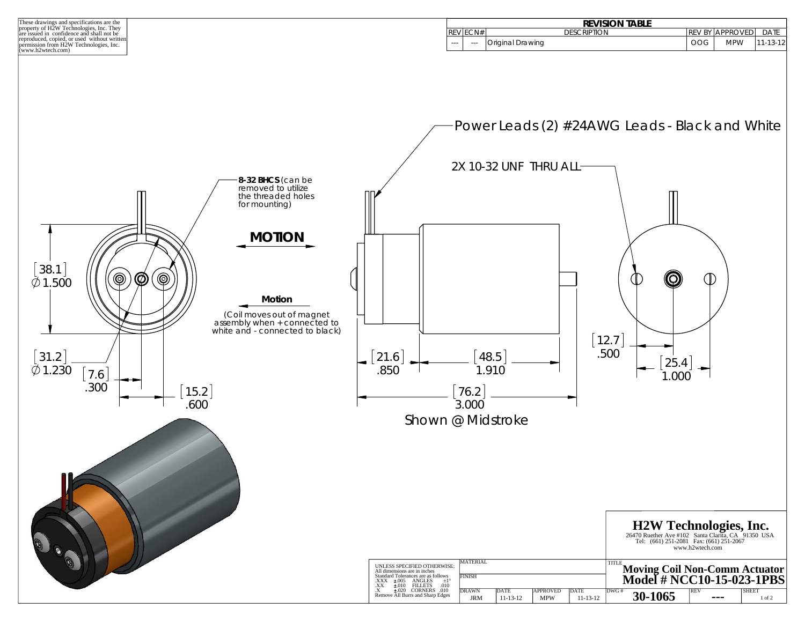